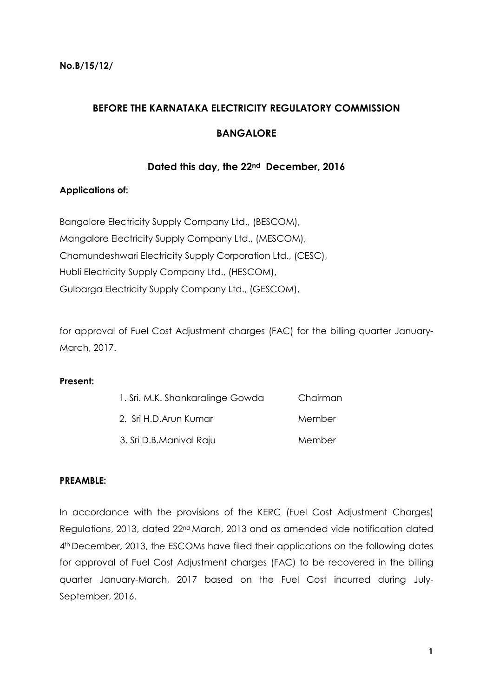# **BEFORE THE KARNATAKA ELECTRICITY REGULATORY COMMISSION**

# **BANGALORE**

## **Dated this day, the 22nd December, 2016**

### **Applications of:**

Bangalore Electricity Supply Company Ltd., (BESCOM), Mangalore Electricity Supply Company Ltd., (MESCOM), Chamundeshwari Electricity Supply Corporation Ltd., (CESC), Hubli Electricity Supply Company Ltd., (HESCOM), Gulbarga Electricity Supply Company Ltd., (GESCOM),

for approval of Fuel Cost Adjustment charges (FAC) for the billing quarter January-March, 2017.

#### **Present:**

| 1. Sri. M.K. Shankaralinge Gowda | Chairman |
|----------------------------------|----------|
| 2. Sri H.D. Arun Kumar           | Member   |
| 3. Sri D.B.Manival Raju          | Member   |

#### **PREAMBLE:**

In accordance with the provisions of the KERC (Fuel Cost Adjustment Charges) Regulations, 2013, dated 22nd March, 2013 and as amended vide notification dated 4<sup>th</sup> December, 2013, the ESCOMs have filed their applications on the following dates for approval of Fuel Cost Adjustment charges (FAC) to be recovered in the billing quarter January-March, 2017 based on the Fuel Cost incurred during July-September, 2016.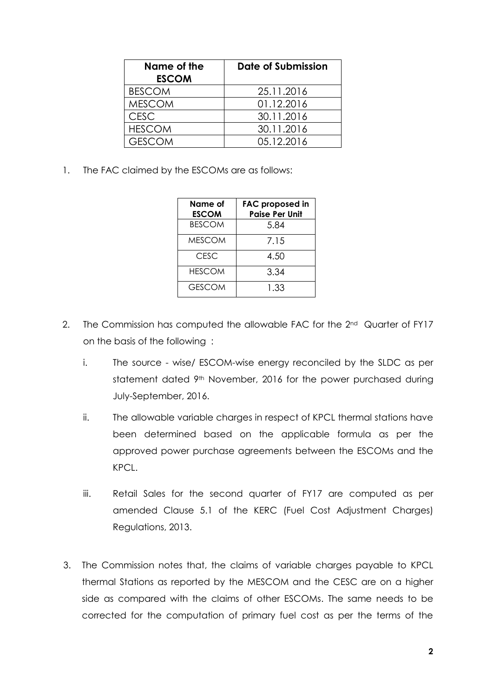| Name of the<br><b>ESCOM</b> | Date of Submission |
|-----------------------------|--------------------|
| <b>BESCOM</b>               | 25.11.2016         |
| <b>MESCOM</b>               | 01.12.2016         |
| <b>CESC</b>                 | 30.11.2016         |
| <b>HESCOM</b>               | 30.11.2016         |
| <b>GESCOM</b>               | 05.12.2016         |

1. The FAC claimed by the ESCOMs are as follows:

| Name of<br><b>ESCOM</b> | <b>FAC proposed in</b><br><b>Paise Per Unit</b> |
|-------------------------|-------------------------------------------------|
| <b>BESCOM</b>           | 5.84                                            |
| <b>MESCOM</b>           | 7.15                                            |
| CESC                    | 4.50                                            |
| <b>HESCOM</b>           | 3.34                                            |
| <b>GESCOM</b>           | 1.33                                            |

- 2. The Commission has computed the allowable FAC for the 2<sup>nd</sup> Quarter of FY17 on the basis of the following :
	- i. The source wise/ ESCOM-wise energy reconciled by the SLDC as per statement dated 9<sup>th</sup> November, 2016 for the power purchased during July-September, 2016.
	- ii. The allowable variable charges in respect of KPCL thermal stations have been determined based on the applicable formula as per the approved power purchase agreements between the ESCOMs and the KPCL.
	- iii. Retail Sales for the second quarter of FY17 are computed as per amended Clause 5.1 of the KERC (Fuel Cost Adjustment Charges) Regulations, 2013.
- 3. The Commission notes that, the claims of variable charges payable to KPCL thermal Stations as reported by the MESCOM and the CESC are on a higher side as compared with the claims of other ESCOMs. The same needs to be corrected for the computation of primary fuel cost as per the terms of the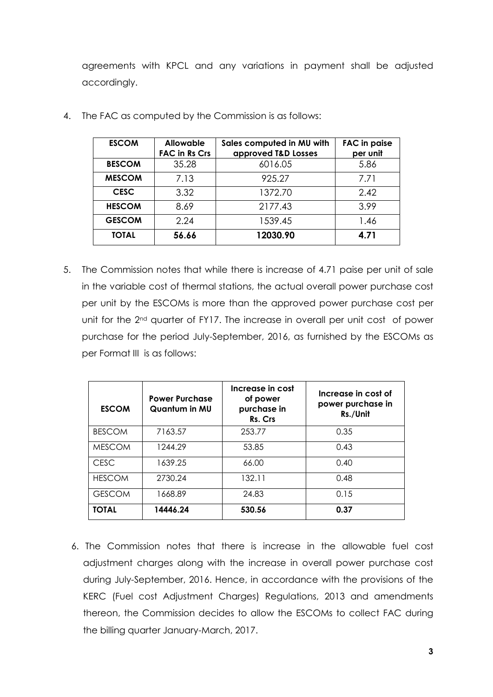agreements with KPCL and any variations in payment shall be adjusted accordingly.

| <b>ESCOM</b>  | <b>Allowable</b><br><b>FAC in Rs Crs</b> | Sales computed in MU with<br>approved T&D Losses | <b>FAC</b> in paise<br>per unit |
|---------------|------------------------------------------|--------------------------------------------------|---------------------------------|
| <b>BESCOM</b> | 35.28                                    | 6016.05                                          | 5.86                            |
| <b>MESCOM</b> | 7.13                                     | 925.27                                           | 7.71                            |
| <b>CESC</b>   | 3.32                                     | 1372.70                                          | 2.42                            |
| <b>HESCOM</b> | 8.69                                     | 2177.43                                          | 3.99                            |
| <b>GESCOM</b> | 2.24                                     | 1539.45                                          | 1.46                            |
| <b>TOTAL</b>  | 56.66                                    | 12030.90                                         | 4.71                            |

4. The FAC as computed by the Commission is as follows:

5. The Commission notes that while there is increase of 4.71 paise per unit of sale in the variable cost of thermal stations, the actual overall power purchase cost per unit by the ESCOMs is more than the approved power purchase cost per unit for the 2<sup>nd</sup> quarter of FY17. The increase in overall per unit cost of power purchase for the period July-September, 2016, as furnished by the ESCOMs as per Format III is as follows:

| <b>ESCOM</b>  | <b>Power Purchase</b><br>Quantum in MU | Increase in cost<br>of power<br>purchase in<br>Rs. Crs | Increase in cost of<br>power purchase in<br>Rs./Unit |
|---------------|----------------------------------------|--------------------------------------------------------|------------------------------------------------------|
| <b>BESCOM</b> | 7163.57                                | 253.77                                                 | 0.35                                                 |
| <b>MESCOM</b> | 1244.29                                | 53.85                                                  | 0.43                                                 |
| <b>CESC</b>   | 1639.25                                | 66.00                                                  | 0.40                                                 |
| <b>HESCOM</b> | 2730.24                                | 132.11                                                 | 0.48                                                 |
| <b>GESCOM</b> | 1668.89                                | 24.83                                                  | 0.15                                                 |
| TOTAL         | 14446.24                               | 530.56                                                 | 0.37                                                 |

6. The Commission notes that there is increase in the allowable fuel cost adjustment charges along with the increase in overall power purchase cost during July-September, 2016. Hence, in accordance with the provisions of the KERC (Fuel cost Adjustment Charges) Regulations, 2013 and amendments thereon, the Commission decides to allow the ESCOMs to collect FAC during the billing quarter January-March, 2017.